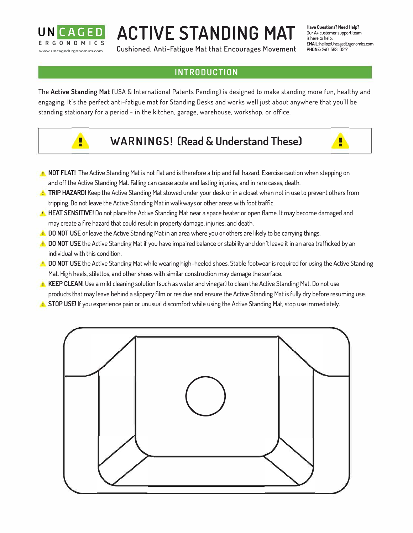

# **ACTIVE STANDING MAT**

**Cushioned, Anti-Fatigue Mat that Encourages Movement** 

**Have Questions? Need Help?**  Our A+ customer support team is here to help: EMAIL: hello@UncagedErgonomics.com **PHONE:** 240-583-0517

r

## **INTRODUCTION**

The **Active Standing Mat** (USA & International Patents Pending) is designed to make standing more fun, healthy and engaging. It's the perfect anti-fatigue mat for Standing Desks and works well just about anywhere that you'll be standing stationary for a period - in the kitchen, garage, warehouse, workshop, or office.



- **WARN I NG S ! (Read & Understand These)**
- **1.** NOT FLAT! The Active Standing Mat is not flat and is therefore a trip and fall hazard. Exercise caution when stepping on and off the Active Standing Mat. Falling can cause acute and lasting injuries, and in rare cases, death.
- **TRIP HAZARD!** Keep the Active Standing Mat stowed under your desk or in a closet when not in use to prevent others from tripping. Do not leave the Active Standing Mat in walkways or other areas with foot traffic.
- **:** HEAT SENSITIVE! Do not place the Active Standing Mat near a space heater or open flame. It may become damaged and may create a fire hazard that could result in property damage, injuries, and death.
- **1** DO NOT USE or leave the Active Standing Mat in an area where you or others are likely to be carrying things.
- **:** DO NOT USE the Active Standing Mat if you have impaired balance or stability and don't leave it in an area trafficked by an individual with this condition.
- **1** DO NOT USE the Active Standing Mat while wearing high-heeled shoes. Stable footwear is required for using the Active Standing Mat. High heels, stilettos, and other shoes with similar construction may damage the surface.
- **KEEP CLEAN!** Use a mild cleaning solution (such as water and vinegar) to clean the Active Standing Mat. Do not use products that may leave behind a slippery film or residue and ensure the Active Standing Mat is fully dry before resuming use.
- **I** STOP USE! If you experience pain or unusual discomfort while using the Active Standing Mat, stop use immediately.